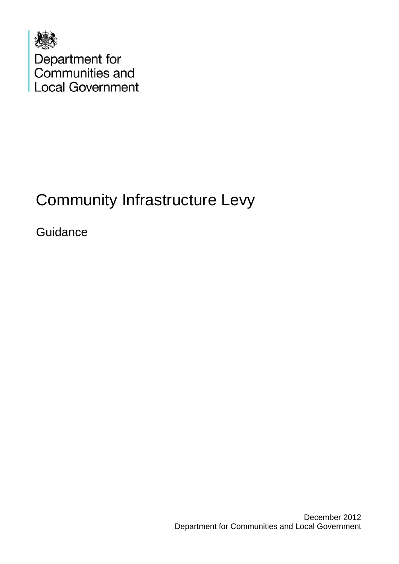

# Community Infrastructure Levy

**Guidance**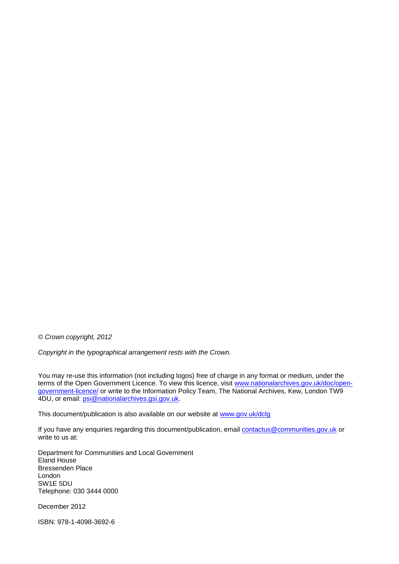*© Crown copyright, 2012* 

*Copyright in the typographical arrangement rests with the Crown.* 

You may re-use this information (not including logos) free of charge in any format or medium, under the terms of the Open Government Licence. To view this licence, visit [www.nationalarchives.gov.uk/doc/open](http://www.nationalarchives.gov.uk/doc/open-government-licence/)[government-licence/](http://www.nationalarchives.gov.uk/doc/open-government-licence/) or write to the Information Policy Team, The National Archives, Kew, London TW9 4DU, or email: [psi@nationalarchives.gsi.gov.uk](mailto:psi@nationalarchives.gsi.gov.uk).

This document/publication is also available on our website at [www.gov.uk/dclg](https://www.gov.uk/dclg)

If you have any enquiries regarding this document/publication, email [contactus@communities.gov.uk](mailto:contactus@communities.gsi.gov.uk) or write to us at:

Department for Communities and Local Government Eland House Bressenden Place London SW1E 5DU Telephone: 030 3444 0000

December 2012

ISBN: 978-1-4098-3692-6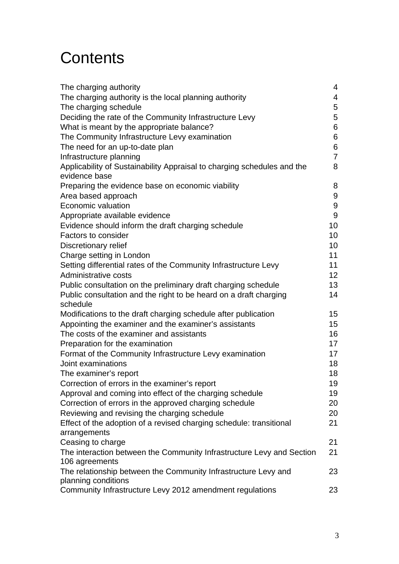# **Contents**

| The charging authority                                                  | 4                |
|-------------------------------------------------------------------------|------------------|
| The charging authority is the local planning authority                  | $\overline{4}$   |
| The charging schedule                                                   | 5                |
| Deciding the rate of the Community Infrastructure Levy                  | 5                |
|                                                                         |                  |
| What is meant by the appropriate balance?                               | 6                |
| The Community Infrastructure Levy examination                           | 6                |
| The need for an up-to-date plan                                         | 6                |
| Infrastructure planning                                                 | $\overline{7}$   |
| Applicability of Sustainability Appraisal to charging schedules and the | 8                |
| evidence base                                                           |                  |
| Preparing the evidence base on economic viability                       | 8                |
| Area based approach                                                     | 9                |
| Economic valuation                                                      | $\boldsymbol{9}$ |
| Appropriate available evidence                                          | $9\,$            |
| Evidence should inform the draft charging schedule                      | 10               |
| Factors to consider                                                     | 10               |
| Discretionary relief                                                    | 10               |
| Charge setting in London                                                | 11               |
| Setting differential rates of the Community Infrastructure Levy         | 11               |
| Administrative costs                                                    | 12               |
| Public consultation on the preliminary draft charging schedule          | 13               |
| Public consultation and the right to be heard on a draft charging       | 14               |
| schedule                                                                |                  |
| Modifications to the draft charging schedule after publication          | 15 <sub>2</sub>  |
| Appointing the examiner and the examiner's assistants                   | 15               |
| The costs of the examiner and assistants                                | 16               |
| Preparation for the examination                                         | 17               |
| Format of the Community Infrastructure Levy examination                 | 17               |
| Joint examinations                                                      | 18               |
|                                                                         |                  |
| The examiner's report                                                   | 18               |
| Correction of errors in the examiner's report                           | 19               |
| Approval and coming into effect of the charging schedule                | 19               |
| Correction of errors in the approved charging schedule                  | 20               |
| Reviewing and revising the charging schedule                            | 20               |
| Effect of the adoption of a revised charging schedule: transitional     | 21               |
| arrangements                                                            |                  |
| Ceasing to charge                                                       | 21               |
| The interaction between the Community Infrastructure Levy and Section   | 21               |
| 106 agreements                                                          |                  |
| The relationship between the Community Infrastructure Levy and          | 23               |
| planning conditions                                                     |                  |
| Community Infrastructure Levy 2012 amendment regulations                | 23               |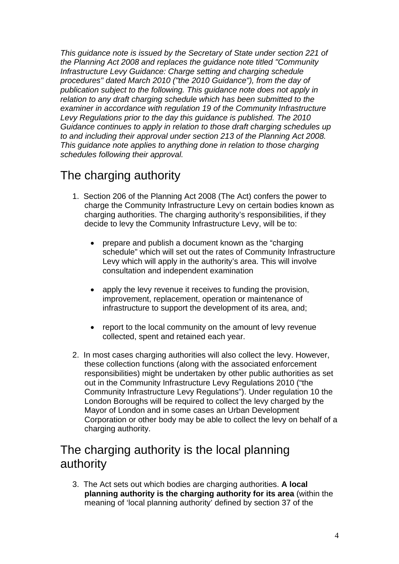*This guidance note is issued by the Secretary of State under section 221 of the Planning Act 2008 and replaces the guidance note titled "Community Infrastructure Levy Guidance: Charge setting and charging schedule procedures" dated March 2010 ("the 2010 Guidance"), from the day of publication subject to the following. This guidance note does not apply in relation to any draft charging schedule which has been submitted to the examiner in accordance with regulation 19 of the Community Infrastructure Levy Regulations prior to the day this guidance is published. The 2010 Guidance continues to apply in relation to those draft charging schedules up to and including their approval under section 213 of the Planning Act 2008. This guidance note applies to anything done in relation to those charging schedules following their approval.* 

# The charging authority

- 1. Section 206 of the Planning Act 2008 (The Act) confers the power to charge the Community Infrastructure Levy on certain bodies known as charging authorities. The charging authority's responsibilities, if they decide to levy the Community Infrastructure Levy, will be to:
	- prepare and publish a document known as the "charging" schedule" which will set out the rates of Community Infrastructure Levy which will apply in the authority's area. This will involve consultation and independent examination
	- apply the levy revenue it receives to funding the provision, improvement, replacement, operation or maintenance of infrastructure to support the development of its area, and;
	- report to the local community on the amount of levy revenue collected, spent and retained each year.
- 2. In most cases charging authorities will also collect the levy. However, these collection functions (along with the associated enforcement responsibilities) might be undertaken by other public authorities as set out in the Community Infrastructure Levy Regulations 2010 ("the Community Infrastructure Levy Regulations"). Under regulation 10 the London Boroughs will be required to collect the levy charged by the Mayor of London and in some cases an Urban Development Corporation or other body may be able to collect the levy on behalf of a charging authority.

# The charging authority is the local planning authority

3. The Act sets out which bodies are charging authorities. **A local planning authority is the charging authority for its area** (within the meaning of 'local planning authority' defined by section 37 of the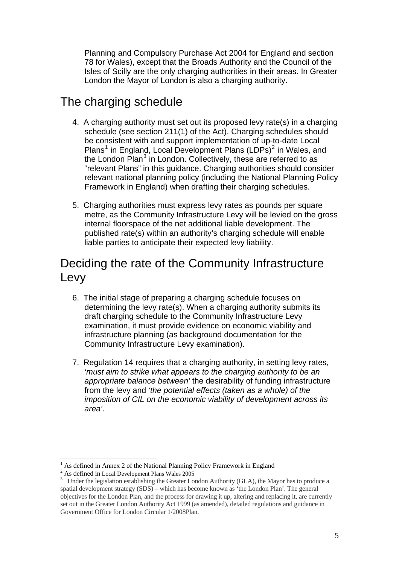Planning and Compulsory Purchase Act 2004 for England and section 78 for Wales), except that the Broads Authority and the Council of the Isles of Scilly are the only charging authorities in their areas. In Greater London the Mayor of London is also a charging authority.

# The charging schedule

- 4. A charging authority must set out its proposed levy rate(s) in a charging schedule (see section 211(1) of the Act). Charging schedules should be consistent with and support implementation of up-to-date Local Plans<sup>[1](#page-4-0)</sup> in England, Local Development Plans (LDPs)<sup>[2](#page-4-1)</sup> in Wales, and the London Plan<sup>[3](#page-4-2)</sup> in London. Collectively, these are referred to as "relevant Plans" in this guidance. Charging authorities should consider relevant national planning policy (including the National Planning Policy Framework in England) when drafting their charging schedules.
- 5. Charging authorities must express levy rates as pounds per square metre, as the Community Infrastructure Levy will be levied on the gross internal floorspace of the net additional liable development. The published rate(s) within an authority's charging schedule will enable liable parties to anticipate their expected levy liability.

# Deciding the rate of the Community Infrastructure Levy

- 6. The initial stage of preparing a charging schedule focuses on determining the levy rate(s). When a charging authority submits its draft charging schedule to the Community Infrastructure Levy examination, it must provide evidence on economic viability and infrastructure planning (as background documentation for the Community Infrastructure Levy examination).
- 7. Regulation 14 requires that a charging authority, in setting levy rates, *'must aim to strike what appears to the charging authority to be an appropriate balance between'* the desirability of funding infrastructure from the levy and *'the potential effects (taken as a whole) of the imposition of CIL on the economic viability of development across its area'*.

 $\overline{a}$ 

<sup>1</sup> As defined in Annex 2 of the National Planning Policy Framework in England

<span id="page-4-1"></span><span id="page-4-0"></span><sup>&</sup>lt;sup>2</sup> As defined in Local Development Plans Wales 2005

<span id="page-4-2"></span><sup>&</sup>lt;sup>3</sup> Under the legislation establishing the Greater London Authority (GLA), the Mayor has to produce a spatial development strategy (SDS) – which has become known as 'the London Plan'. The general objectives for the London Plan, and the process for drawing it up, altering and replacing it, are currently set out in the Greater London Authority Act 1999 (as amended), detailed regulations and guidance in Government Office for London Circular 1/2008Plan.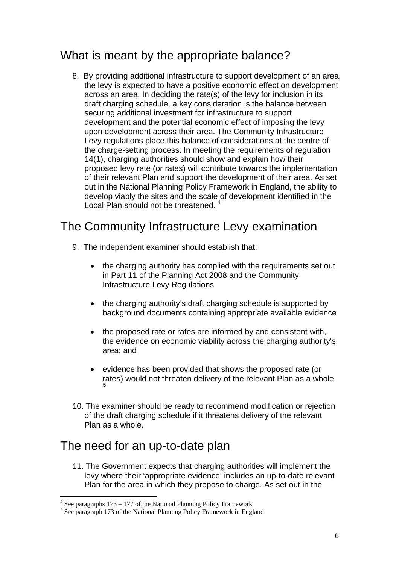# What is meant by the appropriate balance?

8. By providing additional infrastructure to support development of an area, the levy is expected to have a positive economic effect on development across an area. In deciding the rate(s) of the levy for inclusion in its draft charging schedule, a key consideration is the balance between securing additional investment for infrastructure to support development and the potential economic effect of imposing the levy upon development across their area. The Community Infrastructure Levy regulations place this balance of considerations at the centre of the charge-setting process. In meeting the requirements of regulation 14(1), charging authorities should show and explain how their proposed levy rate (or rates) will contribute towards the implementation of their relevant Plan and support the development of their area. As set out in the National Planning Policy Framework in England, the ability to develop viably the sites and the scale of development identified in the Local Plan should not be threatened.<sup>[4](#page-5-0)</sup>

# The Community Infrastructure Levy examination

- 9. The independent examiner should establish that:
	- the charging authority has complied with the requirements set out in Part 11 of the Planning Act 2008 and the Community Infrastructure Levy Regulations
	- the charging authority's draft charging schedule is supported by background documents containing appropriate available evidence
	- the proposed rate or rates are informed by and consistent with, the evidence on economic viability across the charging authority's area; and
	- evidence has been provided that shows the proposed rate (or rates) would not threaten delivery of the relevant Plan as a whole. [5](#page-5-1)
- 10. The examiner should be ready to recommend modification or rejection of the draft charging schedule if it threatens delivery of the relevant Plan as a whole.

# The need for an up-to-date plan

 $\overline{a}$ 

11. The Government expects that charging authorities will implement the levy where their 'appropriate evidence' includes an up-to-date relevant Plan for the area in which they propose to charge. As set out in the

 $4$  See paragraphs 173 – 177 of the National Planning Policy Framework

<span id="page-5-1"></span><span id="page-5-0"></span><sup>&</sup>lt;sup>5</sup> See paragraph 173 of the National Planning Policy Framework in England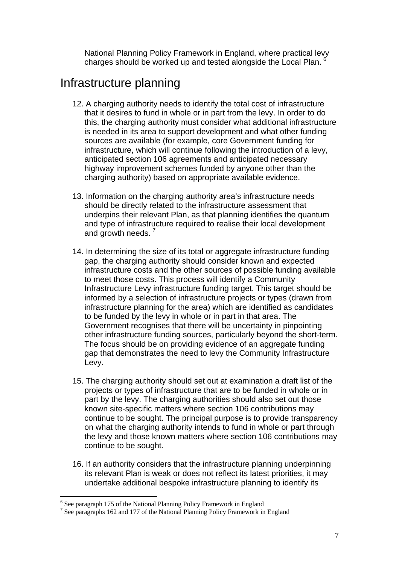National Planning Policy Framework in England, where practical levy charges should be worked up and tested alongside the Local Plan. <sup>[6](#page-6-0)</sup>

#### Infrastructure planning

- 12. A charging authority needs to identify the total cost of infrastructure that it desires to fund in whole or in part from the levy. In order to do this, the charging authority must consider what additional infrastructure is needed in its area to support development and what other funding sources are available (for example, core Government funding for infrastructure, which will continue following the introduction of a levy, anticipated section 106 agreements and anticipated necessary highway improvement schemes funded by anyone other than the charging authority) based on appropriate available evidence.
- 13. Information on the charging authority area's infrastructure needs should be directly related to the infrastructure assessment that underpins their relevant Plan, as that planning identifies the quantum and type of infrastructure required to realise their local development and growth needs.  $\frac{7}{2}$  $\frac{7}{2}$  $\frac{7}{2}$
- 14. In determining the size of its total or aggregate infrastructure funding gap, the charging authority should consider known and expected infrastructure costs and the other sources of possible funding available to meet those costs. This process will identify a Community Infrastructure Levy infrastructure funding target. This target should be informed by a selection of infrastructure projects or types (drawn from infrastructure planning for the area) which are identified as candidates to be funded by the levy in whole or in part in that area. The Government recognises that there will be uncertainty in pinpointing other infrastructure funding sources, particularly beyond the short-term. The focus should be on providing evidence of an aggregate funding gap that demonstrates the need to levy the Community Infrastructure Levy.
- 15. The charging authority should set out at examination a draft list of the projects or types of infrastructure that are to be funded in whole or in part by the levy. The charging authorities should also set out those known site-specific matters where section 106 contributions may continue to be sought. The principal purpose is to provide transparency on what the charging authority intends to fund in whole or part through the levy and those known matters where section 106 contributions may continue to be sought.
- 16. If an authority considers that the infrastructure planning underpinning its relevant Plan is weak or does not reflect its latest priorities, it may undertake additional bespoke infrastructure planning to identify its

 $\overline{a}$ <sup>6</sup> See paragraph 175 of the National Planning Policy Framework in England

<span id="page-6-1"></span><span id="page-6-0"></span><sup>&</sup>lt;sup>7</sup> See paragraphs 162 and 177 of the National Planning Policy Framework in England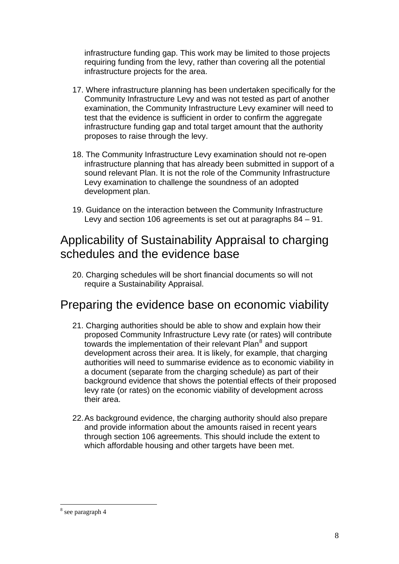infrastructure funding gap. This work may be limited to those projects requiring funding from the levy, rather than covering all the potential infrastructure projects for the area.

- 17. Where infrastructure planning has been undertaken specifically for the Community Infrastructure Levy and was not tested as part of another examination, the Community Infrastructure Levy examiner will need to test that the evidence is sufficient in order to confirm the aggregate infrastructure funding gap and total target amount that the authority proposes to raise through the levy.
- 18. The Community Infrastructure Levy examination should not re-open infrastructure planning that has already been submitted in support of a sound relevant Plan. It is not the role of the Community Infrastructure Levy examination to challenge the soundness of an adopted development plan.
- 19. Guidance on the interaction between the Community Infrastructure Levy and section 106 agreements is set out at paragraphs 84 – 91.

# Applicability of Sustainability Appraisal to charging schedules and the evidence base

20. Charging schedules will be short financial documents so will not require a Sustainability Appraisal.

#### Preparing the evidence base on economic viability

- 21. Charging authorities should be able to show and explain how their proposed Community Infrastructure Levy rate (or rates) will contribute towards the implementation of their relevant Plan<sup>[8](#page-7-0)</sup> and support development across their area. It is likely, for example, that charging authorities will need to summarise evidence as to economic viability in a document (separate from the charging schedule) as part of their background evidence that shows the potential effects of their proposed levy rate (or rates) on the economic viability of development across their area.
- 22. As background evidence, the charging authority should also prepare and provide information about the amounts raised in recent years through section 106 agreements. This should include the extent to which affordable housing and other targets have been met.

 $\overline{a}$ 

<span id="page-7-0"></span><sup>8</sup> see paragraph 4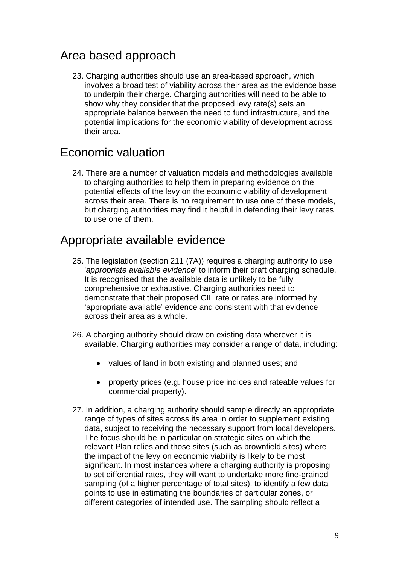### Area based approach

23. Charging authorities should use an area-based approach, which involves a broad test of viability across their area as the evidence base to underpin their charge. Charging authorities will need to be able to show why they consider that the proposed levy rate(s) sets an appropriate balance between the need to fund infrastructure, and the potential implications for the economic viability of development across their area.

#### Economic valuation

24. There are a number of valuation models and methodologies available to charging authorities to help them in preparing evidence on the potential effects of the levy on the economic viability of development across their area. There is no requirement to use one of these models, but charging authorities may find it helpful in defending their levy rates to use one of them.

#### Appropriate available evidence

- 25. The legislation (section 211 (7A)) requires a charging authority to use '*appropriate available evidence*' to inform their draft charging schedule. It is recognised that the available data is unlikely to be fully comprehensive or exhaustive. Charging authorities need to demonstrate that their proposed CIL rate or rates are informed by 'appropriate available' evidence and consistent with that evidence across their area as a whole.
- 26. A charging authority should draw on existing data wherever it is available. Charging authorities may consider a range of data, including:
	- values of land in both existing and planned uses; and
	- property prices (e.g. house price indices and rateable values for commercial property).
- 27. In addition, a charging authority should sample directly an appropriate range of types of sites across its area in order to supplement existing data, subject to receiving the necessary support from local developers. The focus should be in particular on strategic sites on which the relevant Plan relies and those sites (such as brownfield sites) where the impact of the levy on economic viability is likely to be most significant. In most instances where a charging authority is proposing to set differential rates, they will want to undertake more fine-grained sampling (of a higher percentage of total sites), to identify a few data points to use in estimating the boundaries of particular zones, or different categories of intended use. The sampling should reflect a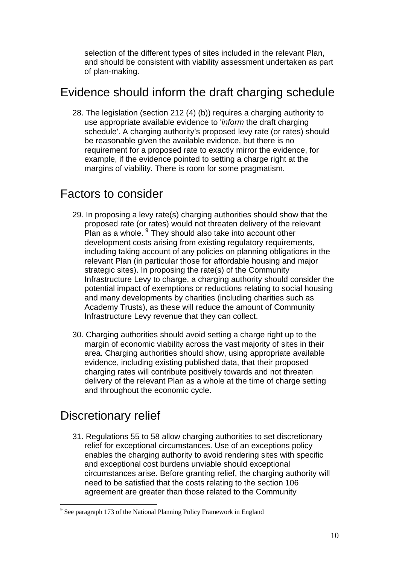selection of the different types of sites included in the relevant Plan, and should be consistent with viability assessment undertaken as part of plan-making.

#### Evidence should inform the draft charging schedule

28. The legislation (section 212 (4) (b)) requires a charging authority to use appropriate available evidence to '*inform* the draft charging schedule'. A charging authority's proposed levy rate (or rates) should be reasonable given the available evidence, but there is no requirement for a proposed rate to exactly mirror the evidence, for example, if the evidence pointed to setting a charge right at the margins of viability. There is room for some pragmatism.

### Factors to consider

- 29. In proposing a levy rate(s) charging authorities should show that the proposed rate (or rates) would not threaten delivery of the relevant Plan as a whole. <sup>[9](#page-9-0)</sup> They should also take into account other development costs arising from existing regulatory requirements, including taking account of any policies on planning obligations in the relevant Plan (in particular those for affordable housing and major strategic sites). In proposing the rate(s) of the Community Infrastructure Levy to charge, a charging authority should consider the potential impact of exemptions or reductions relating to social housing and many developments by charities (including charities such as Academy Trusts), as these will reduce the amount of Community Infrastructure Levy revenue that they can collect.
- 30. Charging authorities should avoid setting a charge right up to the margin of economic viability across the vast majority of sites in their area. Charging authorities should show, using appropriate available evidence, including existing published data, that their proposed charging rates will contribute positively towards and not threaten delivery of the relevant Plan as a whole at the time of charge setting and throughout the economic cycle.

# Discretionary relief

 $\overline{a}$ 

31. Regulations 55 to 58 allow charging authorities to set discretionary relief for exceptional circumstances. Use of an exceptions policy enables the charging authority to avoid rendering sites with specific and exceptional cost burdens unviable should exceptional circumstances arise. Before granting relief, the charging authority will need to be satisfied that the costs relating to the section 106 agreement are greater than those related to the Community

<span id="page-9-0"></span><sup>&</sup>lt;sup>9</sup> See paragraph 173 of the National Planning Policy Framework in England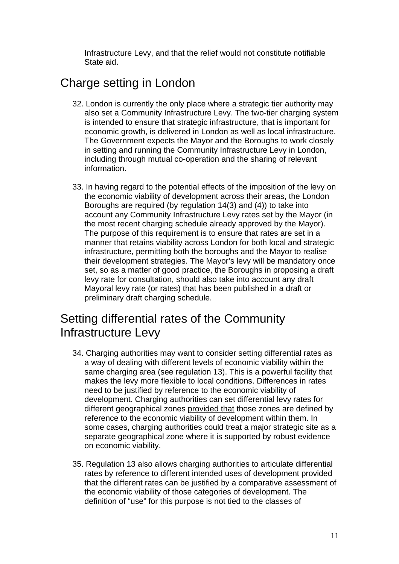Infrastructure Levy, and that the relief would not constitute notifiable State aid.

# Charge setting in London

- 32. London is currently the only place where a strategic tier authority may also set a Community Infrastructure Levy. The two-tier charging system is intended to ensure that strategic infrastructure, that is important for economic growth, is delivered in London as well as local infrastructure. The Government expects the Mayor and the Boroughs to work closely in setting and running the Community Infrastructure Levy in London, including through mutual co-operation and the sharing of relevant information.
- 33. In having regard to the potential effects of the imposition of the levy on the economic viability of development across their areas, the London Boroughs are required (by regulation 14(3) and (4)) to take into account any Community Infrastructure Levy rates set by the Mayor (in the most recent charging schedule already approved by the Mayor). The purpose of this requirement is to ensure that rates are set in a manner that retains viability across London for both local and strategic infrastructure, permitting both the boroughs and the Mayor to realise their development strategies. The Mayor's levy will be mandatory once set, so as a matter of good practice, the Boroughs in proposing a draft levy rate for consultation, should also take into account any draft Mayoral levy rate (or rates) that has been published in a draft or preliminary draft charging schedule.

# Setting differential rates of the Community Infrastructure Levy

- 34. Charging authorities may want to consider setting differential rates as a way of dealing with different levels of economic viability within the same charging area (see regulation 13). This is a powerful facility that makes the levy more flexible to local conditions. Differences in rates need to be justified by reference to the economic viability of development. Charging authorities can set differential levy rates for different geographical zones provided that those zones are defined by reference to the economic viability of development within them. In some cases, charging authorities could treat a major strategic site as a separate geographical zone where it is supported by robust evidence on economic viability.
- 35. Regulation 13 also allows charging authorities to articulate differential rates by reference to different intended uses of development provided that the different rates can be justified by a comparative assessment of the economic viability of those categories of development. The definition of "use" for this purpose is not tied to the classes of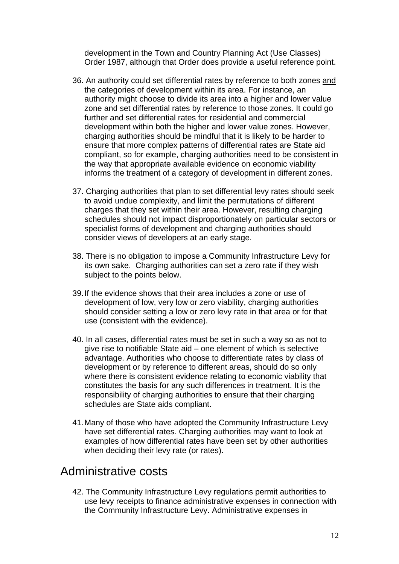development in the Town and Country Planning Act (Use Classes) Order 1987, although that Order does provide a useful reference point.

- 36. An authority could set differential rates by reference to both zones and the categories of development within its area. For instance, an authority might choose to divide its area into a higher and lower value zone and set differential rates by reference to those zones. It could go further and set differential rates for residential and commercial development within both the higher and lower value zones. However, charging authorities should be mindful that it is likely to be harder to ensure that more complex patterns of differential rates are State aid compliant, so for example, charging authorities need to be consistent in the way that appropriate available evidence on economic viability informs the treatment of a category of development in different zones.
- 37. Charging authorities that plan to set differential levy rates should seek to avoid undue complexity, and limit the permutations of different charges that they set within their area. However, resulting charging schedules should not impact disproportionately on particular sectors or specialist forms of development and charging authorities should consider views of developers at an early stage.
- 38. There is no obligation to impose a Community Infrastructure Levy for its own sake. Charging authorities can set a zero rate if they wish subject to the points below.
- 39. If the evidence shows that their area includes a zone or use of development of low, very low or zero viability, charging authorities should consider setting a low or zero levy rate in that area or for that use (consistent with the evidence).
- 40. In all cases, differential rates must be set in such a way so as not to give rise to notifiable State aid – one element of which is selective advantage. Authorities who choose to differentiate rates by class of development or by reference to different areas, should do so only where there is consistent evidence relating to economic viability that constitutes the basis for any such differences in treatment. It is the responsibility of charging authorities to ensure that their charging schedules are State aids compliant.
- 41. Many of those who have adopted the Community Infrastructure Levy have set differential rates. Charging authorities may want to look at examples of how differential rates have been set by other authorities when deciding their levy rate (or rates).

#### Administrative costs

42. The Community Infrastructure Levy regulations permit authorities to use levy receipts to finance administrative expenses in connection with the Community Infrastructure Levy. Administrative expenses in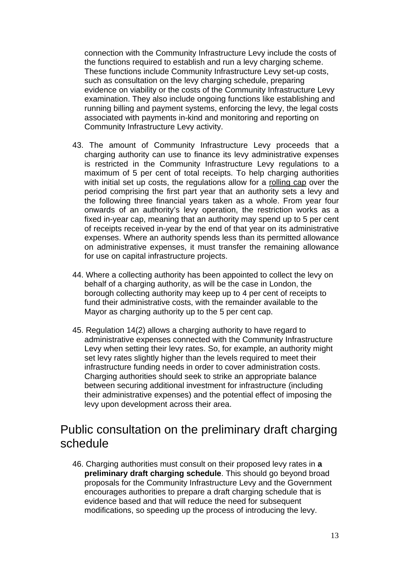connection with the Community Infrastructure Levy include the costs of the functions required to establish and run a levy charging scheme. These functions include Community Infrastructure Levy set-up costs, such as consultation on the levy charging schedule, preparing evidence on viability or the costs of the Community Infrastructure Levy examination. They also include ongoing functions like establishing and running billing and payment systems, enforcing the levy, the legal costs associated with payments in-kind and monitoring and reporting on Community Infrastructure Levy activity.

- 43. The amount of Community Infrastructure Levy proceeds that a charging authority can use to finance its levy administrative expenses is restricted in the Community Infrastructure Levy regulations to a maximum of 5 per cent of total receipts. To help charging authorities with initial set up costs, the regulations allow for a rolling cap over the period comprising the first part year that an authority sets a levy and the following three financial years taken as a whole. From year four onwards of an authority's levy operation, the restriction works as a fixed in-year cap, meaning that an authority may spend up to 5 per cent of receipts received in-year by the end of that year on its administrative expenses. Where an authority spends less than its permitted allowance on administrative expenses, it must transfer the remaining allowance for use on capital infrastructure projects.
- 44. Where a collecting authority has been appointed to collect the levy on behalf of a charging authority, as will be the case in London, the borough collecting authority may keep up to 4 per cent of receipts to fund their administrative costs, with the remainder available to the Mayor as charging authority up to the 5 per cent cap.
- 45. Regulation 14(2) allows a charging authority to have regard to administrative expenses connected with the Community Infrastructure Levy when setting their levy rates. So, for example, an authority might set levy rates slightly higher than the levels required to meet their infrastructure funding needs in order to cover administration costs. Charging authorities should seek to strike an appropriate balance between securing additional investment for infrastructure (including their administrative expenses) and the potential effect of imposing the levy upon development across their area.

#### Public consultation on the preliminary draft charging schedule

46. Charging authorities must consult on their proposed levy rates in **a preliminary draft charging schedule**. This should go beyond broad proposals for the Community Infrastructure Levy and the Government encourages authorities to prepare a draft charging schedule that is evidence based and that will reduce the need for subsequent modifications, so speeding up the process of introducing the levy.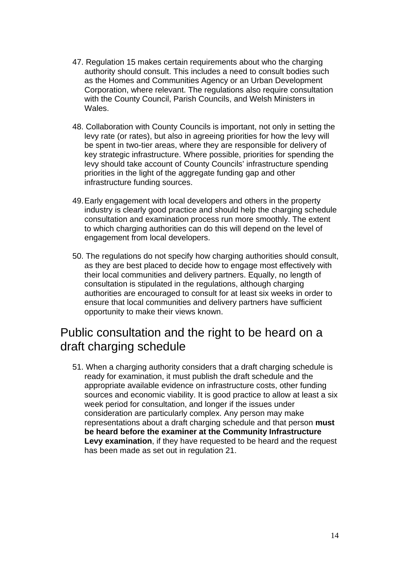- 47. Regulation 15 makes certain requirements about who the charging authority should consult. This includes a need to consult bodies such as the Homes and Communities Agency or an Urban Development Corporation, where relevant. The regulations also require consultation with the County Council, Parish Councils, and Welsh Ministers in Wales.
- 48. Collaboration with County Councils is important, not only in setting the levy rate (or rates), but also in agreeing priorities for how the levy will be spent in two-tier areas, where they are responsible for delivery of key strategic infrastructure. Where possible, priorities for spending the levy should take account of County Councils' infrastructure spending priorities in the light of the aggregate funding gap and other infrastructure funding sources.
- 49. Early engagement with local developers and others in the property industry is clearly good practice and should help the charging schedule consultation and examination process run more smoothly. The extent to which charging authorities can do this will depend on the level of engagement from local developers.
- 50. The regulations do not specify how charging authorities should consult, as they are best placed to decide how to engage most effectively with their local communities and delivery partners. Equally, no length of consultation is stipulated in the regulations, although charging authorities are encouraged to consult for at least six weeks in order to ensure that local communities and delivery partners have sufficient opportunity to make their views known.

### Public consultation and the right to be heard on a draft charging schedule

51. When a charging authority considers that a draft charging schedule is ready for examination, it must publish the draft schedule and the appropriate available evidence on infrastructure costs, other funding sources and economic viability. It is good practice to allow at least a six week period for consultation, and longer if the issues under consideration are particularly complex. Any person may make representations about a draft charging schedule and that person **must be heard before the examiner at the Community Infrastructure Levy examination**, if they have requested to be heard and the request has been made as set out in regulation 21.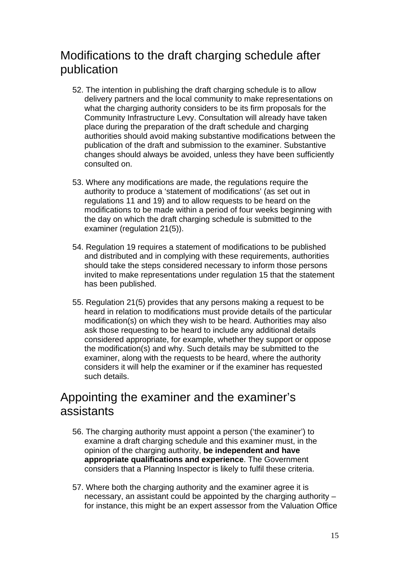# Modifications to the draft charging schedule after publication

- 52. The intention in publishing the draft charging schedule is to allow delivery partners and the local community to make representations on what the charging authority considers to be its firm proposals for the Community Infrastructure Levy. Consultation will already have taken place during the preparation of the draft schedule and charging authorities should avoid making substantive modifications between the publication of the draft and submission to the examiner. Substantive changes should always be avoided, unless they have been sufficiently consulted on.
- 53. Where any modifications are made, the regulations require the authority to produce a 'statement of modifications' (as set out in regulations 11 and 19) and to allow requests to be heard on the modifications to be made within a period of four weeks beginning with the day on which the draft charging schedule is submitted to the examiner (regulation 21(5)).
- 54. Regulation 19 requires a statement of modifications to be published and distributed and in complying with these requirements, authorities should take the steps considered necessary to inform those persons invited to make representations under regulation 15 that the statement has been published.
- 55. Regulation 21(5) provides that any persons making a request to be heard in relation to modifications must provide details of the particular modification(s) on which they wish to be heard. Authorities may also ask those requesting to be heard to include any additional details considered appropriate, for example, whether they support or oppose the modification(s) and why. Such details may be submitted to the examiner, along with the requests to be heard, where the authority considers it will help the examiner or if the examiner has requested such details.

#### Appointing the examiner and the examiner's assistants

- 56. The charging authority must appoint a person ('the examiner') to examine a draft charging schedule and this examiner must, in the opinion of the charging authority, **be independent and have appropriate qualifications and experience**. The Government considers that a Planning Inspector is likely to fulfil these criteria.
- 57. Where both the charging authority and the examiner agree it is necessary, an assistant could be appointed by the charging authority – for instance, this might be an expert assessor from the Valuation Office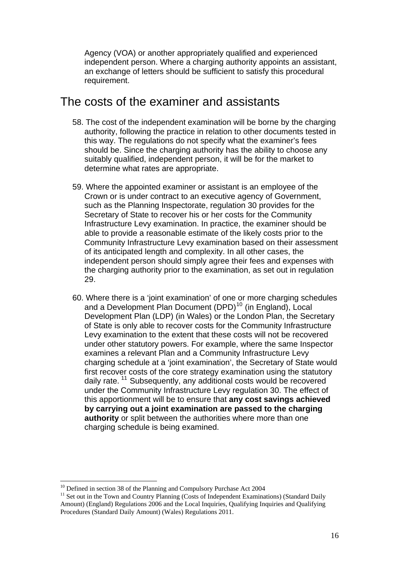Agency (VOA) or another appropriately qualified and experienced independent person. Where a charging authority appoints an assistant, an exchange of letters should be sufficient to satisfy this procedural requirement.

#### The costs of the examiner and assistants

- 58. The cost of the independent examination will be borne by the charging authority, following the practice in relation to other documents tested in this way. The regulations do not specify what the examiner's fees should be. Since the charging authority has the ability to choose any suitably qualified, independent person, it will be for the market to determine what rates are appropriate.
- 59. Where the appointed examiner or assistant is an employee of the Crown or is under contract to an executive agency of Government, such as the Planning Inspectorate, regulation 30 provides for the Secretary of State to recover his or her costs for the Community Infrastructure Levy examination. In practice, the examiner should be able to provide a reasonable estimate of the likely costs prior to the Community Infrastructure Levy examination based on their assessment of its anticipated length and complexity. In all other cases, the independent person should simply agree their fees and expenses with the charging authority prior to the examination, as set out in regulation 29.
- 60. Where there is a 'joint examination' of one or more charging schedules and a Development Plan Document (DPD)<sup>[10](#page-15-0)</sup> (in England), Local Development Plan (LDP) (in Wales) or the London Plan, the Secretary of State is only able to recover costs for the Community Infrastructure Levy examination to the extent that these costs will not be recovered under other statutory powers. For example, where the same Inspector examines a relevant Plan and a Community Infrastructure Levy charging schedule at a 'joint examination', the Secretary of State would first recover costs of the core strategy examination using the statutory daily rate.<sup>[11](#page-15-1)</sup> Subsequently, any additional costs would be recovered under the Community Infrastructure Levy regulation 30. The effect of this apportionment will be to ensure that **any cost savings achieved by carrying out a joint examination are passed to the charging authority** or split between the authorities where more than one charging schedule is being examined.

 $\overline{a}$ 

<sup>&</sup>lt;sup>10</sup> Defined in section 38 of the Planning and Compulsory Purchase Act 2004

<span id="page-15-1"></span><span id="page-15-0"></span><sup>&</sup>lt;sup>11</sup> Set out in the Town and Country Planning (Costs of Independent Examinations) (Standard Daily Amount) (England) Regulations 2006 and the Local Inquiries, Qualifying Inquiries and Qualifying Procedures (Standard Daily Amount) (Wales) Regulations 2011.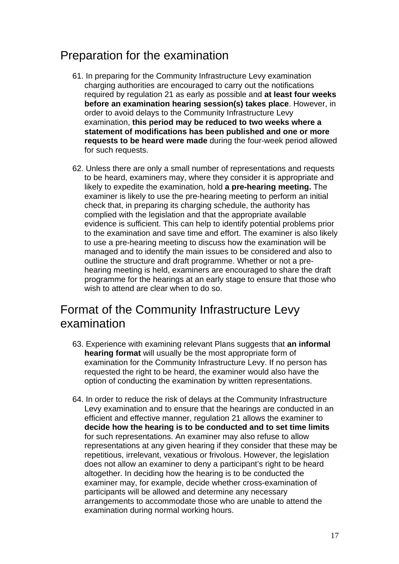# Preparation for the examination

- 61. In preparing for the Community Infrastructure Levy examination charging authorities are encouraged to carry out the notifications required by regulation 21 as early as possible and **at least four weeks before an examination hearing session(s) takes place**. However, in order to avoid delays to the Community Infrastructure Levy examination, **this period may be reduced to two weeks where a statement of modifications has been published and one or more requests to be heard were made** during the four-week period allowed for such requests.
- 62. Unless there are only a small number of representations and requests to be heard, examiners may, where they consider it is appropriate and likely to expedite the examination, hold **a pre-hearing meeting.** The examiner is likely to use the pre-hearing meeting to perform an initial check that, in preparing its charging schedule, the authority has complied with the legislation and that the appropriate available evidence is sufficient. This can help to identify potential problems prior to the examination and save time and effort. The examiner is also likely to use a pre-hearing meeting to discuss how the examination will be managed and to identify the main issues to be considered and also to outline the structure and draft programme. Whether or not a prehearing meeting is held, examiners are encouraged to share the draft programme for the hearings at an early stage to ensure that those who wish to attend are clear when to do so.

### Format of the Community Infrastructure Levy examination

- 63. Experience with examining relevant Plans suggests that **an informal hearing format** will usually be the most appropriate form of examination for the Community Infrastructure Levy. If no person has requested the right to be heard, the examiner would also have the option of conducting the examination by written representations.
- 64. In order to reduce the risk of delays at the Community Infrastructure Levy examination and to ensure that the hearings are conducted in an efficient and effective manner, regulation 21 allows the examiner to **decide how the hearing is to be conducted and to set time limits**  for such representations. An examiner may also refuse to allow representations at any given hearing if they consider that these may be repetitious, irrelevant, vexatious or frivolous. However, the legislation does not allow an examiner to deny a participant's right to be heard altogether. In deciding how the hearing is to be conducted the examiner may, for example, decide whether cross-examination of participants will be allowed and determine any necessary arrangements to accommodate those who are unable to attend the examination during normal working hours.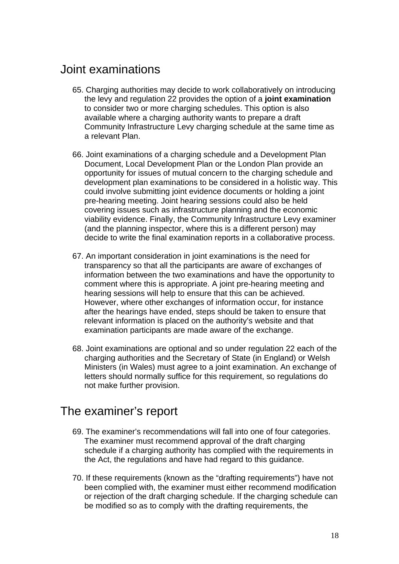#### Joint examinations

- 65. Charging authorities may decide to work collaboratively on introducing the levy and regulation 22 provides the option of a **joint examination**  to consider two or more charging schedules. This option is also available where a charging authority wants to prepare a draft Community Infrastructure Levy charging schedule at the same time as a relevant Plan.
- 66. Joint examinations of a charging schedule and a Development Plan Document, Local Development Plan or the London Plan provide an opportunity for issues of mutual concern to the charging schedule and development plan examinations to be considered in a holistic way. This could involve submitting joint evidence documents or holding a joint pre-hearing meeting. Joint hearing sessions could also be held covering issues such as infrastructure planning and the economic viability evidence. Finally, the Community Infrastructure Levy examiner (and the planning inspector, where this is a different person) may decide to write the final examination reports in a collaborative process.
- 67. An important consideration in joint examinations is the need for transparency so that all the participants are aware of exchanges of information between the two examinations and have the opportunity to comment where this is appropriate. A joint pre-hearing meeting and hearing sessions will help to ensure that this can be achieved. However, where other exchanges of information occur, for instance after the hearings have ended, steps should be taken to ensure that relevant information is placed on the authority's website and that examination participants are made aware of the exchange.
- 68. Joint examinations are optional and so under regulation 22 each of the charging authorities and the Secretary of State (in England) or Welsh Ministers (in Wales) must agree to a joint examination. An exchange of letters should normally suffice for this requirement, so regulations do not make further provision.

#### The examiner's report

- 69. The examiner's recommendations will fall into one of four categories. The examiner must recommend approval of the draft charging schedule if a charging authority has complied with the requirements in the Act, the regulations and have had regard to this guidance.
- 70. If these requirements (known as the "drafting requirements") have not been complied with, the examiner must either recommend modification or rejection of the draft charging schedule. If the charging schedule can be modified so as to comply with the drafting requirements, the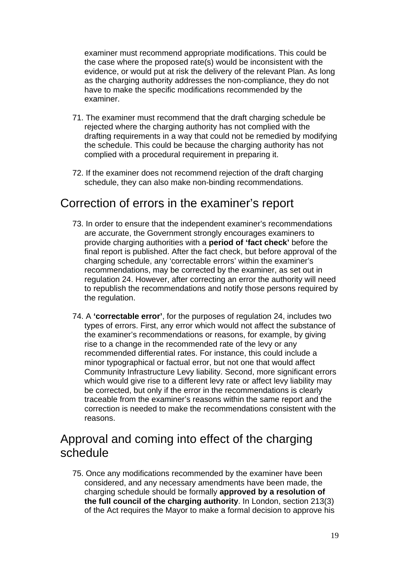examiner must recommend appropriate modifications. This could be the case where the proposed rate(s) would be inconsistent with the evidence, or would put at risk the delivery of the relevant Plan. As long as the charging authority addresses the non-compliance, they do not have to make the specific modifications recommended by the examiner.

- 71. The examiner must recommend that the draft charging schedule be rejected where the charging authority has not complied with the drafting requirements in a way that could not be remedied by modifying the schedule. This could be because the charging authority has not complied with a procedural requirement in preparing it.
- 72. If the examiner does not recommend rejection of the draft charging schedule, they can also make non-binding recommendations.

#### Correction of errors in the examiner's report

- 73. In order to ensure that the independent examiner's recommendations are accurate, the Government strongly encourages examiners to provide charging authorities with a **period of 'fact check'** before the final report is published. After the fact check, but before approval of the charging schedule, any 'correctable errors' within the examiner's recommendations, may be corrected by the examiner, as set out in regulation 24. However, after correcting an error the authority will need to republish the recommendations and notify those persons required by the regulation.
- 74. A **'correctable error'**, for the purposes of regulation 24, includes two types of errors. First, any error which would not affect the substance of the examiner's recommendations or reasons, for example, by giving rise to a change in the recommended rate of the levy or any recommended differential rates. For instance, this could include a minor typographical or factual error, but not one that would affect Community Infrastructure Levy liability. Second, more significant errors which would give rise to a different levy rate or affect levy liability may be corrected, but only if the error in the recommendations is clearly traceable from the examiner's reasons within the same report and the correction is needed to make the recommendations consistent with the reasons.

### Approval and coming into effect of the charging schedule

75. Once any modifications recommended by the examiner have been considered, and any necessary amendments have been made, the charging schedule should be formally **approved by a resolution of the full council of the charging authority**. In London, section 213(3) of the Act requires the Mayor to make a formal decision to approve his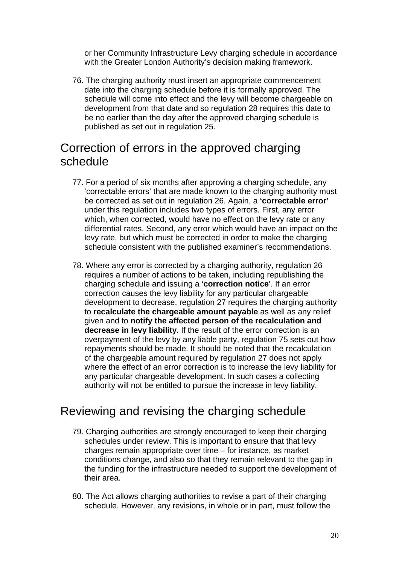or her Community Infrastructure Levy charging schedule in accordance with the Greater London Authority's decision making framework.

76. The charging authority must insert an appropriate commencement date into the charging schedule before it is formally approved. The schedule will come into effect and the levy will become chargeable on development from that date and so regulation 28 requires this date to be no earlier than the day after the approved charging schedule is published as set out in regulation 25.

# Correction of errors in the approved charging schedule

- 77. For a period of six months after approving a charging schedule, any 'correctable errors' that are made known to the charging authority must be corrected as set out in regulation 26. Again, a **'correctable error'**  under this regulation includes two types of errors. First, any error which, when corrected, would have no effect on the levy rate or any differential rates. Second, any error which would have an impact on the levy rate, but which must be corrected in order to make the charging schedule consistent with the published examiner's recommendations.
- 78. Where any error is corrected by a charging authority, regulation 26 requires a number of actions to be taken, including republishing the charging schedule and issuing a '**correction notice**'. If an error correction causes the levy liability for any particular chargeable development to decrease, regulation 27 requires the charging authority to **recalculate the chargeable amount payable** as well as any relief given and to **notify the affected person of the recalculation and decrease in levy liability**. If the result of the error correction is an overpayment of the levy by any liable party, regulation 75 sets out how repayments should be made. It should be noted that the recalculation of the chargeable amount required by regulation 27 does not apply where the effect of an error correction is to increase the levy liability for any particular chargeable development. In such cases a collecting authority will not be entitled to pursue the increase in levy liability.

# Reviewing and revising the charging schedule

- 79. Charging authorities are strongly encouraged to keep their charging schedules under review. This is important to ensure that that levy charges remain appropriate over time – for instance, as market conditions change, and also so that they remain relevant to the gap in the funding for the infrastructure needed to support the development of their area.
- 80. The Act allows charging authorities to revise a part of their charging schedule. However, any revisions, in whole or in part, must follow the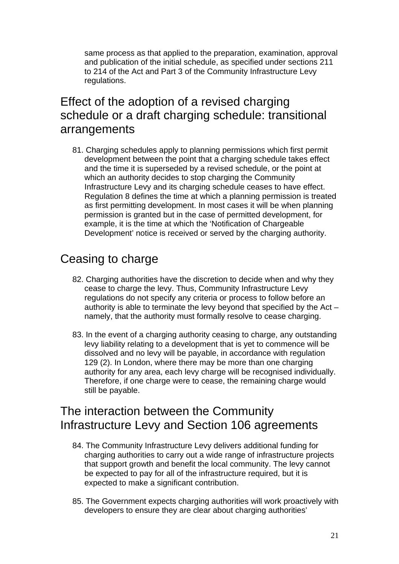same process as that applied to the preparation, examination, approval and publication of the initial schedule, as specified under sections 211 to 214 of the Act and Part 3 of the Community Infrastructure Levy regulations.

# Effect of the adoption of a revised charging schedule or a draft charging schedule: transitional arrangements

81. Charging schedules apply to planning permissions which first permit development between the point that a charging schedule takes effect and the time it is superseded by a revised schedule, or the point at which an authority decides to stop charging the Community Infrastructure Levy and its charging schedule ceases to have effect. Regulation 8 defines the time at which a planning permission is treated as first permitting development. In most cases it will be when planning permission is granted but in the case of permitted development, for example, it is the time at which the 'Notification of Chargeable Development' notice is received or served by the charging authority.

# Ceasing to charge

- 82. Charging authorities have the discretion to decide when and why they cease to charge the levy. Thus, Community Infrastructure Levy regulations do not specify any criteria or process to follow before an authority is able to terminate the levy beyond that specified by the Act – namely, that the authority must formally resolve to cease charging.
- 83. In the event of a charging authority ceasing to charge, any outstanding levy liability relating to a development that is yet to commence will be dissolved and no levy will be payable, in accordance with regulation 129 (2). In London, where there may be more than one charging authority for any area, each levy charge will be recognised individually. Therefore, if one charge were to cease, the remaining charge would still be payable.

# The interaction between the Community Infrastructure Levy and Section 106 agreements

- 84. The Community Infrastructure Levy delivers additional funding for charging authorities to carry out a wide range of infrastructure projects that support growth and benefit the local community. The levy cannot be expected to pay for all of the infrastructure required, but it is expected to make a significant contribution.
- 85. The Government expects charging authorities will work proactively with developers to ensure they are clear about charging authorities'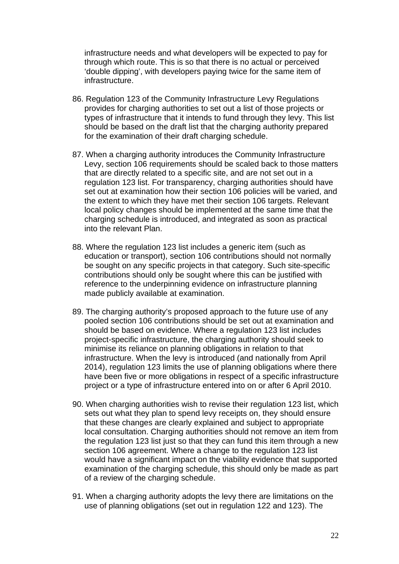infrastructure needs and what developers will be expected to pay for through which route. This is so that there is no actual or perceived 'double dipping', with developers paying twice for the same item of infrastructure.

- 86. Regulation 123 of the Community Infrastructure Levy Regulations provides for charging authorities to set out a list of those projects or types of infrastructure that it intends to fund through they levy. This list should be based on the draft list that the charging authority prepared for the examination of their draft charging schedule.
- 87. When a charging authority introduces the Community Infrastructure Levy, section 106 requirements should be scaled back to those matters that are directly related to a specific site, and are not set out in a regulation 123 list. For transparency, charging authorities should have set out at examination how their section 106 policies will be varied, and the extent to which they have met their section 106 targets. Relevant local policy changes should be implemented at the same time that the charging schedule is introduced, and integrated as soon as practical into the relevant Plan.
- 88. Where the regulation 123 list includes a generic item (such as education or transport), section 106 contributions should not normally be sought on any specific projects in that category. Such site-specific contributions should only be sought where this can be justified with reference to the underpinning evidence on infrastructure planning made publicly available at examination.
- 89. The charging authority's proposed approach to the future use of any pooled section 106 contributions should be set out at examination and should be based on evidence. Where a regulation 123 list includes project-specific infrastructure, the charging authority should seek to minimise its reliance on planning obligations in relation to that infrastructure. When the levy is introduced (and nationally from April 2014), regulation 123 limits the use of planning obligations where there have been five or more obligations in respect of a specific infrastructure project or a type of infrastructure entered into on or after 6 April 2010.
- 90. When charging authorities wish to revise their regulation 123 list, which sets out what they plan to spend levy receipts on, they should ensure that these changes are clearly explained and subject to appropriate local consultation. Charging authorities should not remove an item from the regulation 123 list just so that they can fund this item through a new section 106 agreement. Where a change to the regulation 123 list would have a significant impact on the viability evidence that supported examination of the charging schedule, this should only be made as part of a review of the charging schedule.
- 91. When a charging authority adopts the levy there are limitations on the use of planning obligations (set out in regulation 122 and 123). The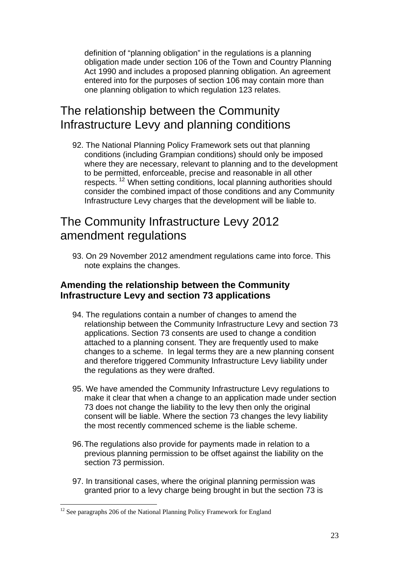definition of "planning obligation" in the regulations is a planning obligation made under section 106 of the Town and Country Planning Act 1990 and includes a proposed planning obligation. An agreement entered into for the purposes of section 106 may contain more than one planning obligation to which regulation 123 relates.

# The relationship between the Community Infrastructure Levy and planning conditions

92. The National Planning Policy Framework sets out that planning conditions (including Grampian conditions) should only be imposed where they are necessary, relevant to planning and to the development to be permitted, enforceable, precise and reasonable in all other respects.<sup>[12](#page-22-0)</sup> When setting conditions, local planning authorities should consider the combined impact of those conditions and any Community Infrastructure Levy charges that the development will be liable to.

### The Community Infrastructure Levy 2012 amendment regulations

93. On 29 November 2012 amendment regulations came into force. This note explains the changes.

#### **Amending the relationship between the Community Infrastructure Levy and section 73 applications**

- 94. The regulations contain a number of changes to amend the relationship between the Community Infrastructure Levy and section 73 applications. Section 73 consents are used to change a condition attached to a planning consent. They are frequently used to make changes to a scheme. In legal terms they are a new planning consent and therefore triggered Community Infrastructure Levy liability under the regulations as they were drafted.
- 95. We have amended the Community Infrastructure Levy regulations to make it clear that when a change to an application made under section 73 does not change the liability to the levy then only the original consent will be liable. Where the section 73 changes the levy liability the most recently commenced scheme is the liable scheme.
- 96. The regulations also provide for payments made in relation to a previous planning permission to be offset against the liability on the section 73 permission.
- 97. In transitional cases, where the original planning permission was granted prior to a levy charge being brought in but the section 73 is

 $\overline{a}$ 

<span id="page-22-0"></span> $12$  See paragraphs 206 of the National Planning Policy Framework for England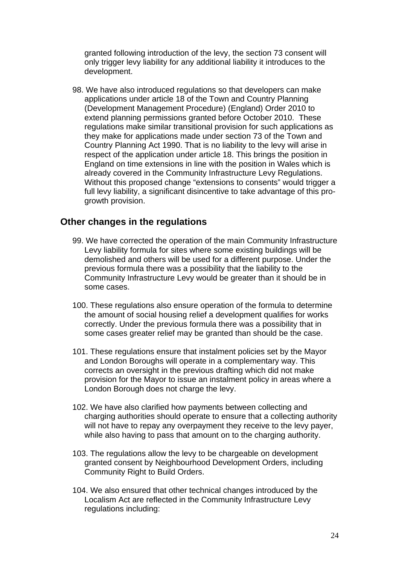granted following introduction of the levy, the section 73 consent will only trigger levy liability for any additional liability it introduces to the development.

98. We have also introduced regulations so that developers can make applications under article 18 of the Town and Country Planning (Development Management Procedure) (England) Order 2010 to extend planning permissions granted before October 2010. These regulations make similar transitional provision for such applications as they make for applications made under section 73 of the Town and Country Planning Act 1990. That is no liability to the levy will arise in respect of the application under article 18. This brings the position in England on time extensions in line with the position in Wales which is already covered in the Community Infrastructure Levy Regulations. Without this proposed change "extensions to consents" would trigger a full levy liability, a significant disincentive to take advantage of this progrowth provision.

#### **Other changes in the regulations**

- 99. We have corrected the operation of the main Community Infrastructure Levy liability formula for sites where some existing buildings will be demolished and others will be used for a different purpose. Under the previous formula there was a possibility that the liability to the Community Infrastructure Levy would be greater than it should be in some cases.
- 100. These regulations also ensure operation of the formula to determine the amount of social housing relief a development qualifies for works correctly. Under the previous formula there was a possibility that in some cases greater relief may be granted than should be the case.
- 101. These regulations ensure that instalment policies set by the Mayor and London Boroughs will operate in a complementary way. This corrects an oversight in the previous drafting which did not make provision for the Mayor to issue an instalment policy in areas where a London Borough does not charge the levy.
- 102. We have also clarified how payments between collecting and charging authorities should operate to ensure that a collecting authority will not have to repay any overpayment they receive to the levy payer, while also having to pass that amount on to the charging authority.
- 103. The regulations allow the levy to be chargeable on development granted consent by Neighbourhood Development Orders, including Community Right to Build Orders.
- 104. We also ensured that other technical changes introduced by the Localism Act are reflected in the Community Infrastructure Levy regulations including: